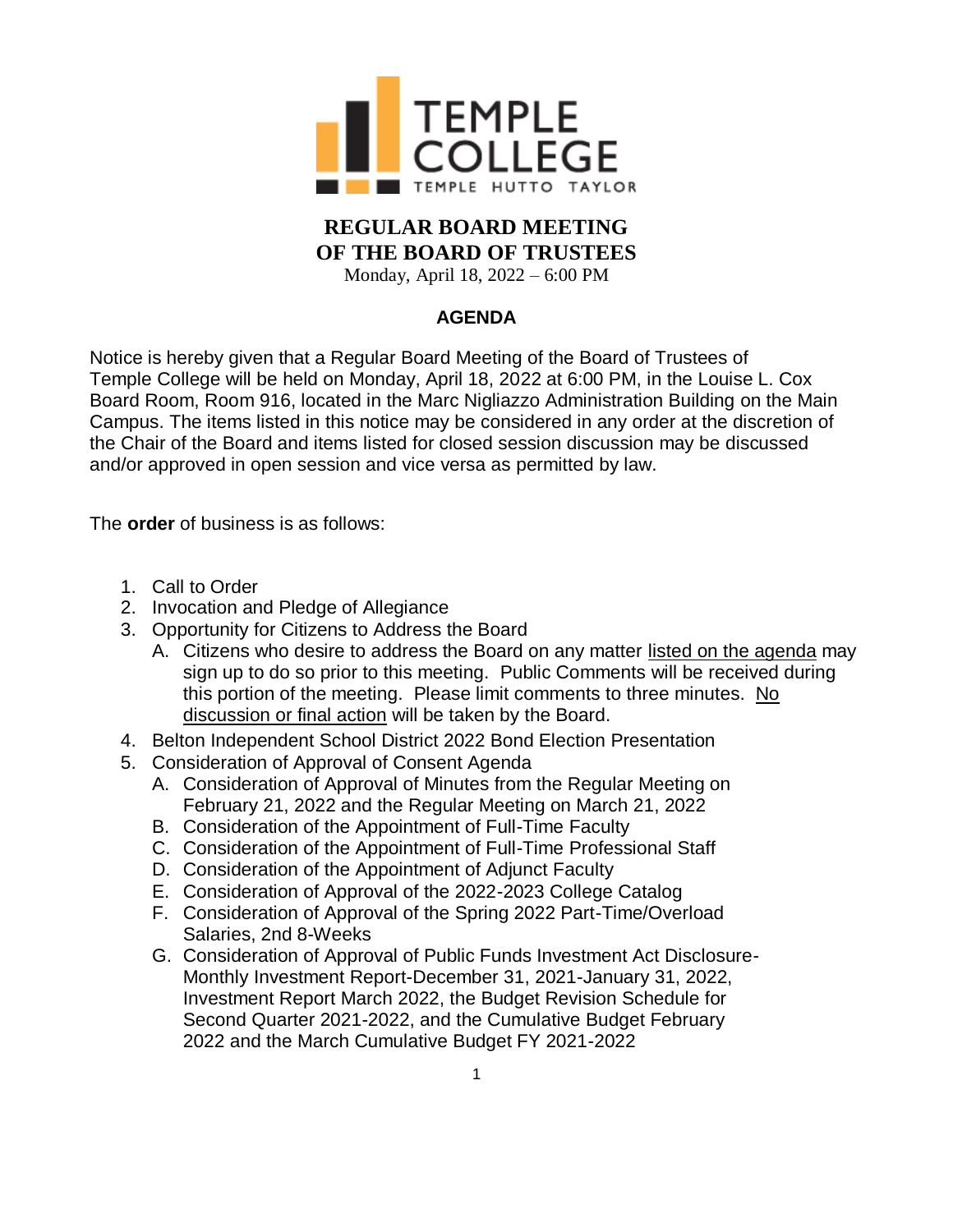

## **REGULAR BOARD MEETING OF THE BOARD OF TRUSTEES**

Monday, April 18, 2022 – 6:00 PM

## **AGENDA**

Notice is hereby given that a Regular Board Meeting of the Board of Trustees of Temple College will be held on Monday, April 18, 2022 at 6:00 PM, in the Louise L. Cox Board Room, Room 916, located in the Marc Nigliazzo Administration Building on the Main Campus. The items listed in this notice may be considered in any order at the discretion of the Chair of the Board and items listed for closed session discussion may be discussed and/or approved in open session and vice versa as permitted by law.

The **order** of business is as follows:

- 1. Call to Order
- 2. Invocation and Pledge of Allegiance
- 3. Opportunity for Citizens to Address the Board
	- A. Citizens who desire to address the Board on any matter listed on the agenda may sign up to do so prior to this meeting. Public Comments will be received during this portion of the meeting. Please limit comments to three minutes. No discussion or final action will be taken by the Board.
- 4. Belton Independent School District 2022 Bond Election Presentation
- 5. Consideration of Approval of Consent Agenda
	- A. Consideration of Approval of Minutes from the Regular Meeting on February 21, 2022 and the Regular Meeting on March 21, 2022
	- B. Consideration of the Appointment of Full-Time Faculty
	- C. Consideration of the Appointment of Full-Time Professional Staff
	- D. Consideration of the Appointment of Adjunct Faculty
	- E. Consideration of Approval of the 2022-2023 College Catalog
	- F. Consideration of Approval of the Spring 2022 Part-Time/Overload Salaries, 2nd 8-Weeks
	- G. Consideration of Approval of Public Funds Investment Act Disclosure-Monthly Investment Report-December 31, 2021-January 31, 2022, Investment Report March 2022, the Budget Revision Schedule for Second Quarter 2021-2022, and the Cumulative Budget February 2022 and the March Cumulative Budget FY 2021-2022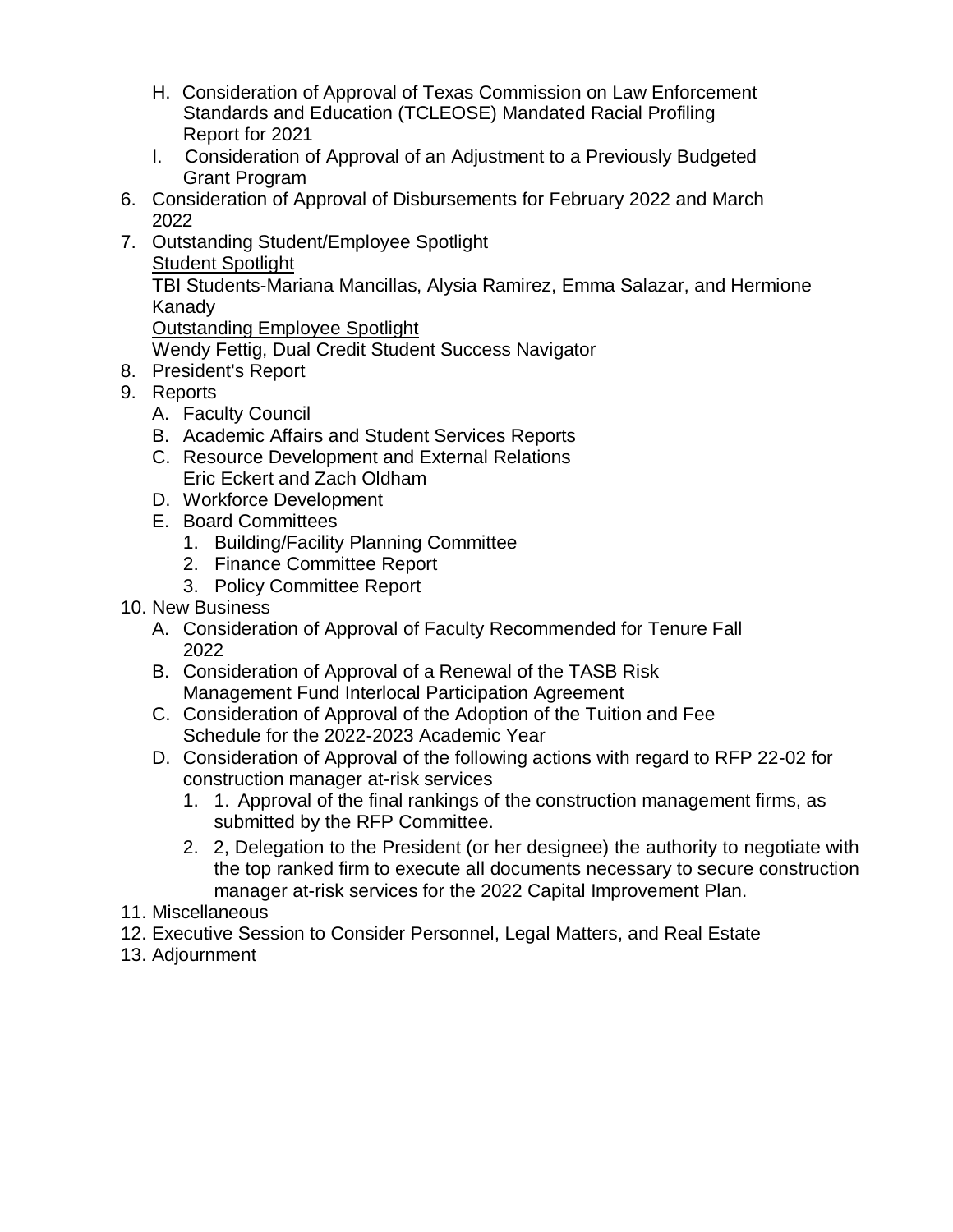- H. Consideration of Approval of Texas Commission on Law Enforcement Standards and Education (TCLEOSE) Mandated Racial Profiling Report for 2021
- I. Consideration of Approval of an Adjustment to a Previously Budgeted Grant Program
- 6. Consideration of Approval of Disbursements for February 2022 and March 2022
- 7. Outstanding Student/Employee Spotlight Student Spotlight

TBI Students-Mariana Mancillas, Alysia Ramirez, Emma Salazar, and Hermione Kanady

Outstanding Employee Spotlight

Wendy Fettig, Dual Credit Student Success Navigator

- 8. President's Report
- 9. Reports
	- A. Faculty Council
	- B. Academic Affairs and Student Services Reports
	- C. Resource Development and External Relations Eric Eckert and Zach Oldham
	- D. Workforce Development
	- E. Board Committees
		- 1. Building/Facility Planning Committee
		- 2. Finance Committee Report
		- 3. Policy Committee Report
- 10. New Business
	- A. Consideration of Approval of Faculty Recommended for Tenure Fall 2022
	- B. Consideration of Approval of a Renewal of the TASB Risk Management Fund Interlocal Participation Agreement
	- C. Consideration of Approval of the Adoption of the Tuition and Fee Schedule for the 2022-2023 Academic Year
	- D. Consideration of Approval of the following actions with regard to RFP 22-02 for construction manager at-risk services
		- 1. 1. Approval of the final rankings of the construction management firms, as submitted by the RFP Committee.
		- 2. 2, Delegation to the President (or her designee) the authority to negotiate with the top ranked firm to execute all documents necessary to secure construction manager at-risk services for the 2022 Capital Improvement Plan.
- 11. Miscellaneous
- 12. Executive Session to Consider Personnel, Legal Matters, and Real Estate
- 13. Adjournment